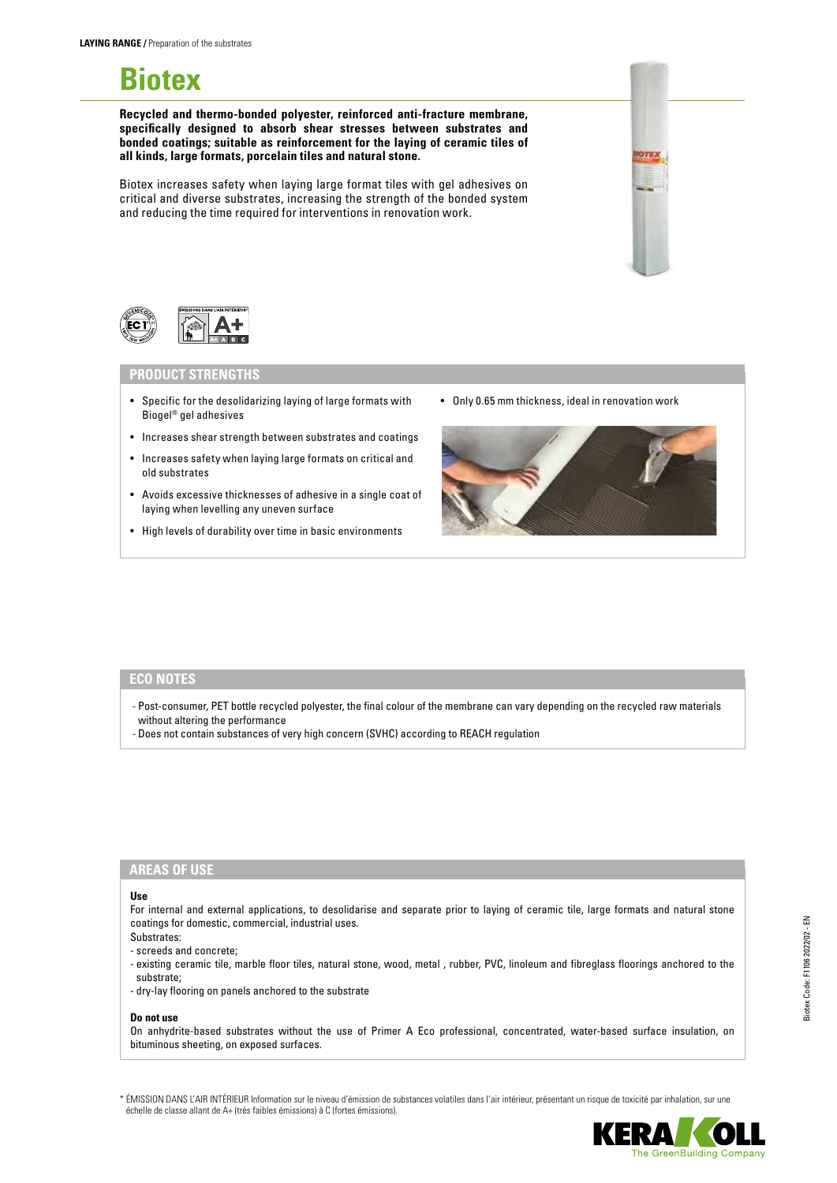# **Biotex**

**Recycled and thermo-bonded polyester, reinforced anti-fracture membrane, specifically designed to absorb shear stresses between substrates and bonded coatings; suitable as reinforcement for the laying of ceramic tiles of all kinds, large formats, porcelain tiles and natural stone.**

Biotex increases safety when laying large format tiles with gel adhesives on critical and diverse substrates, increasing the strength of the bonded system and reducing the time required for interventions in renovation work.



# **PRODUCT STRENGTHS**

- Specific for the desolidarizing laying of large formats with Biogel® gel adhesives
- Increases shear strength between substrates and coatings
- Increases safety when laying large formats on critical and old substrates
- Avoids excessive thicknesses of adhesive in a single coat of laying when levelling any uneven surface
- High levels of durability over time in basic environments

• Only 0.65 mm thickness, ideal in renovation work



## **ECO NOTES**

- Post-consumer, PET bottle recycled polyester, the final colour of the membrane can vary depending on the recycled raw materials without altering the performance
- Does not contain substances of very high concern (SVHC) according to REACH regulation

# **AREAS OF USE**

#### **Use**

For internal and external applications, to desolidarise and separate prior to laying of ceramic tile, large formats and natural stone coatings for domestic, commercial, industrial uses. Substrates:

- screeds and concrete;
- existing ceramic tile, marble floor tiles, natural stone, wood, metal , rubber, PVC, linoleum and fibreglass floorings anchored to the substrate;
- dry-lay flooring on panels anchored to the substrate

#### **Do not use**

On anhydrite-based substrates without the use of Primer A Eco professional, concentrated, water-based surface insulation, on bituminous sheeting, on exposed surfaces.

\* ÉMISSION DANS L'AIR INTÉRIEUR Information sur le niveau d'émission de substances volatiles dans l'air intérieur, présentant un risque de toxicité par inhalation, sur une échelle de classe allant de A+ (très faibles émissions) à C (fortes émissions).

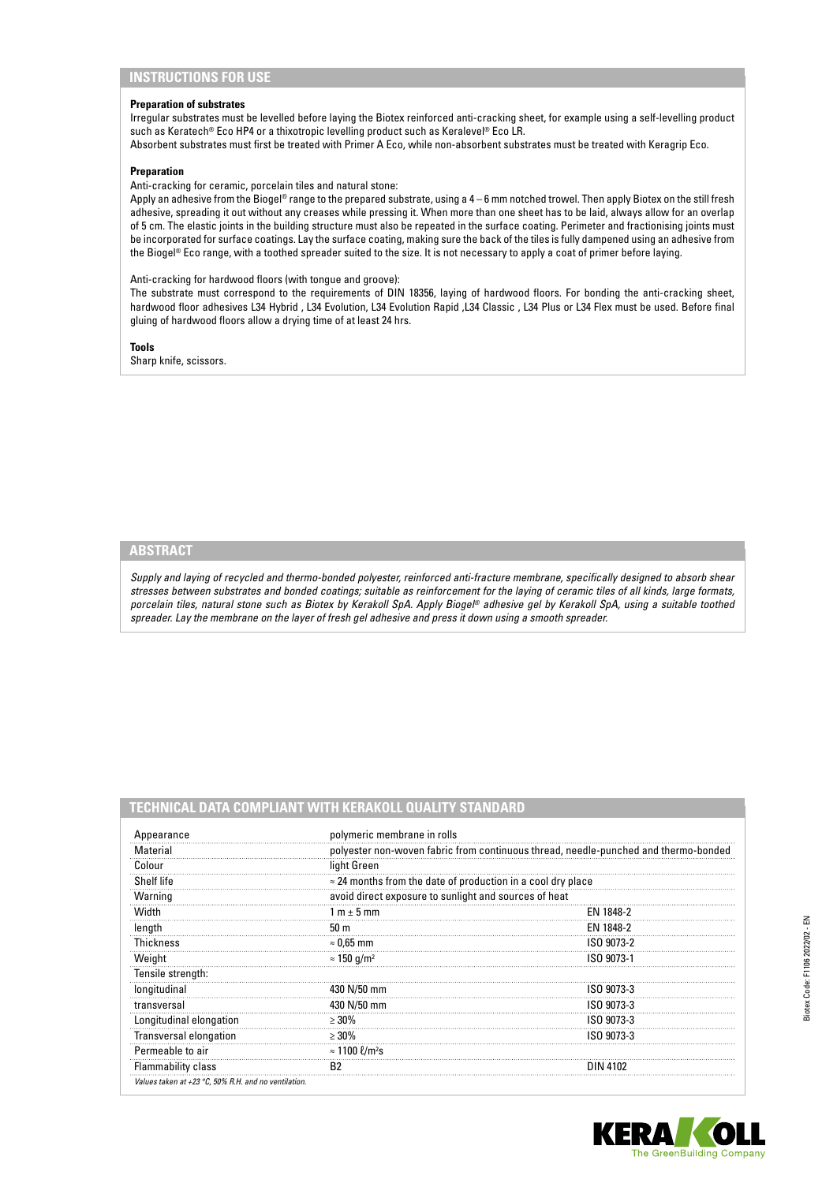# **INSTRUCTIONS FOR USE**

#### **Preparation of substrates**

Irregular substrates must be levelled before laying the Biotex reinforced anti-cracking sheet, for example using a self-levelling product such as Keratech® Eco HP4 or a thixotropic levelling product such as Keralevel® Eco LR.

Absorbent substrates must first be treated with Primer A Eco, while non-absorbent substrates must be treated with Keragrip Eco.

#### **Preparation**

Anti-cracking for ceramic, porcelain tiles and natural stone:

Apply an adhesive from the Biogel® range to the prepared substrate, using a 4 – 6 mm notched trowel. Then apply Biotex on the still fresh adhesive, spreading it out without any creases while pressing it. When more than one sheet has to be laid, always allow for an overlap of 5 cm. The elastic joints in the building structure must also be repeated in the surface coating. Perimeter and fractionising joints must be incorporated for surface coatings. Lay the surface coating, making sure the back of the tiles is fully dampened using an adhesive from the Biogel® Eco range, with a toothed spreader suited to the size. It is not necessary to apply a coat of primer before laying.

#### Anti-cracking for hardwood floors (with tongue and groove):

The substrate must correspond to the requirements of DIN 18356, laying of hardwood floors. For bonding the anti-cracking sheet, hardwood floor adhesives L34 Hybrid , L34 Evolution, L34 Evolution Rapid ,L34 Classic , L34 Plus or L34 Flex must be used. Before final gluing of hardwood floors allow a drying time of at least 24 hrs.

**Tools**

Sharp knife, scissors.

# **ABSTRACT**

*Supply and laying of recycled and thermo-bonded polyester, reinforced anti-fracture membrane, specifically designed to absorb shear stresses between substrates and bonded coatings; suitable as reinforcement for the laying of ceramic tiles of all kinds, large formats, porcelain tiles, natural stone such as Biotex by Kerakoll SpA. Apply Biogel® adhesive gel by Kerakoll SpA, using a suitable toothed spreader. Lay the membrane on the layer of fresh gel adhesive and press it down using a smooth spreader.*

# **TECHNICAL DATA COMPLIANT WITH KERAKOLL QUALITY STANDARD**

| Appearance                                           | polymeric membrane in rolls                                                         |            |
|------------------------------------------------------|-------------------------------------------------------------------------------------|------------|
| Material                                             | polyester non-woven fabric from continuous thread, needle-punched and thermo-bonded |            |
| Colour                                               | light Green                                                                         |            |
| Shelf life                                           | $\approx$ 24 months from the date of production in a cool dry place                 |            |
| Warning                                              | avoid direct exposure to sunlight and sources of heat                               |            |
| Width                                                | 1 m $\pm$ 5 mm                                                                      | EN 1848-2  |
| length                                               | 50 <sub>m</sub>                                                                     | EN 1848-2  |
| Thickness                                            | $\approx 0.65$ mm                                                                   | ISO 9073-2 |
| Weight                                               | $\approx$ 150 g/m <sup>2</sup>                                                      | ISO 9073-1 |
| Tensile strength:                                    |                                                                                     |            |
| longitudinal                                         | 430 N/50 mm                                                                         | ISO 9073-3 |
| transversal                                          | 430 N/50 mm                                                                         | ISO 9073-3 |
| Longitudinal elongation                              | $>30\%$                                                                             | ISO 9073-3 |
| <b>Transversal elongation</b>                        | $>30\%$                                                                             | ISO 9073-3 |
| Permeable to air                                     | $\approx$ 1100 $\ell$ /m <sup>2</sup> s                                             |            |
| <b>Flammability class</b>                            | B <sub>2</sub>                                                                      | DIN 4102   |
| Values taken at +23 °C, 50% R.H. and no ventilation. |                                                                                     |            |